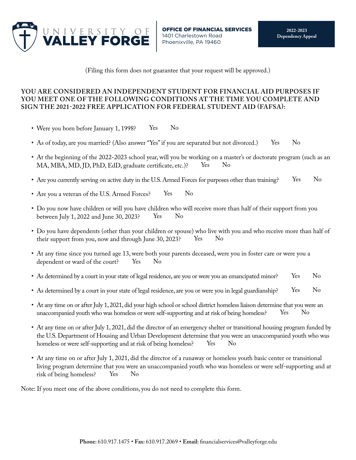

(Filing this form does not guarantee that your request will be approved.)

## **YOU ARE CONSIDERED AN INDEPENDENT STUDENT FOR FINANCIAL AID PURPOSES IF YOU MEET ONE OF THE FOLLOWING CONDITIONS AT THE TIME YOU COMPLETE AND SIGN THE 2021-2022 FREE APPLICATION FOR FEDERAL STUDENT AID (FAFSA):**

- Were you born before January 1, 1998? Yes No
- As of today, are you married? (Also answer "Yes" if you are separated but not divorced.) Yes No
- At the beginning of the 2022-2023 school year, will you be working on a master's or doctorate program (such as an MA, MBA, MD, JD, PhD, EdD, graduate certifcate, etc.)? Yes No
- Are you currently serving on active duty in the U.S. Armed Forces for purposes other than training? Yes No
- Are you a veteran of the U.S. Armed Forces? Yes No
- Do you now have children or will you have children who will receive more than half of their support from you between July 1, 2022 and June 30, 2023? Yes No
- Do you have dependents (other than your children or spouse) who live with you and who receive more than half of their support from you, now and through June 30, 2023? Yes No
- At any time since you turned age 13, were both your parents deceased, were you in foster care or were you a dependent or ward of the court? Yes No
- As determined by a court in your state of legal residence, are you or were you an emancipated minor? Yes No
- As determined by a court in your state of legal residence, are you or were you in legal guardianship? Yes No
- At any time on or after July 1, 2021, did your high school or school district homeless liaison determine that you were an unaccompanied youth who was homeless or were self-supporting and at risk of being homeless? Yes No
- At any time on or after July 1, 2021, did the director of an emergency shelter or transitional housing program funded by the U.S. Department of Housing and Urban Development determine that you were an unaccompanied youth who was homeless or were self-supporting and at risk of being homeless? Yes No
- At any time on or after July 1, 2021, did the director of a runaway or homeless youth basic center or transitional living program determine that you were an unaccompanied youth who was homeless or were self-supporting and at risk of being homeless? Yes No

Note: If you meet one of the above conditions, you do not need to complete this form.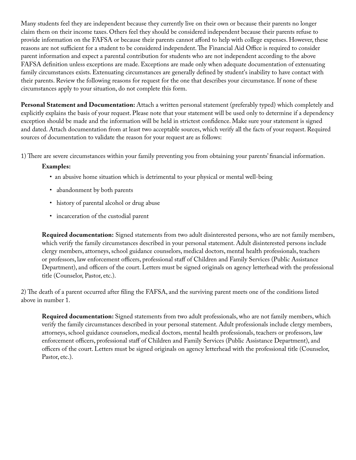Many students feel they are independent because they currently live on their own or because their parents no longer claim them on their income taxes. Others feel they should be considered independent because their parents refuse to provide information on the FAFSA or because their parents cannot afford to help with college expenses. However, these reasons are not sufficient for a student to be considered independent. The Financial Aid Office is required to consider parent information and expect a parental contribution for students who are not independent according to the above FAFSA defnition unless exceptions are made. Exceptions are made only when adequate documentation of extenuating family circumstances exists. Extenuating circumstances are generally defned by student's inability to have contact with their parents. Review the following reasons for request for the one that describes your circumstance. If none of these circumstances apply to your situation, do not complete this form.

**Personal Statement and Documentation:** Attach a written personal statement (preferably typed) which completely and explicitly explains the basis of your request. Please note that your statement will be used only to determine if a dependency exception should be made and the information will be held in strictest confdence. Make sure your statement is signed and dated. Attach documentation from at least two acceptable sources, which verify all the facts of your request. Required sources of documentation to validate the reason for your request are as follows:

1) There are severe circumstances within your family preventing you from obtaining your parents' financial information.

## **Examples:**

- an abusive home situation which is detrimental to your physical or mental well-being
- abandonment by both parents
- history of parental alcohol or drug abuse
- incarceration of the custodial parent

**Required documentation:** Signed statements from two adult disinterested persons, who are not family members, which verify the family circumstances described in your personal statement. Adult disinterested persons include clergy members, attorneys, school guidance counselors, medical doctors, mental health professionals, teachers or professors, law enforcement officers, professional staff of Children and Family Services (Public Assistance Department), and officers of the court. Letters must be signed originals on agency letterhead with the professional title (Counselor, Pastor, etc.).

2) The death of a parent occurred after filing the FAFSA, and the surviving parent meets one of the conditions listed above in number 1.

**Required documentation:** Signed statements from two adult professionals, who are not family members, which verify the family circumstances described in your personal statement. Adult professionals include clergy members, attorneys, school guidance counselors, medical doctors, mental health professionals, teachers or professors, law enforcement officers, professional staff of Children and Family Services (Public Assistance Department), and officers of the court. Letters must be signed originals on agency letterhead with the professional title (Counselor, Pastor, etc.).